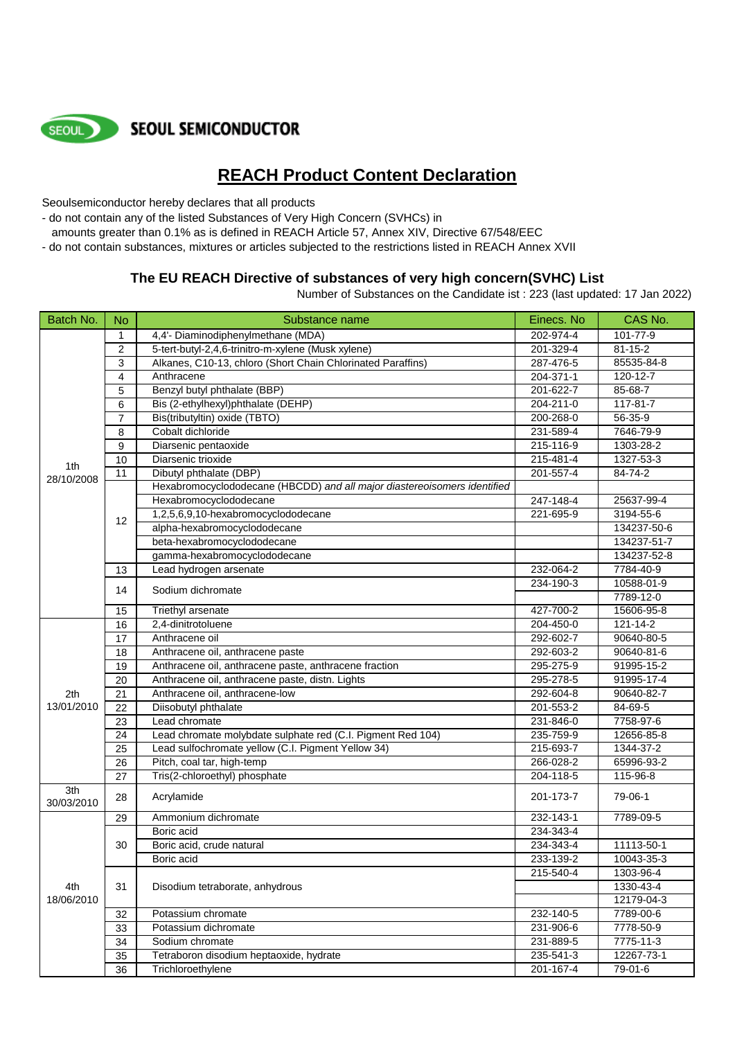

**SEOUL SEMICONDUCTOR** 

## **REACH Product Content Declaration**

Seoulsemiconductor hereby declares that all products

- do not contain any of the listed Substances of Very High Concern (SVHCs) in
- amounts greater than 0.1% as is defined in REACH Article 57, Annex XIV, Directive 67/548/EEC
- do not contain substances, mixtures or articles subjected to the restrictions listed in REACH Annex XVII

## **The EU REACH Directive of substances of very high concern(SVHC) List**

Number of Substances on the Candidate ist : 223 (last updated: 17 Jan 2022)

| Batch No.         | <b>No</b>      | Substance name                                                           | Einecs. No | CAS No.        |
|-------------------|----------------|--------------------------------------------------------------------------|------------|----------------|
|                   | $\mathbf{1}$   | 4,4'- Diaminodiphenylmethane (MDA)                                       | 202-974-4  | 101-77-9       |
|                   | 2              | 5-tert-butyl-2,4,6-trinitro-m-xylene (Musk xylene)                       | 201-329-4  | $81 - 15 - 2$  |
|                   | 3              | Alkanes, C10-13, chloro (Short Chain Chlorinated Paraffins)              | 287-476-5  | 85535-84-8     |
|                   | 4              | Anthracene                                                               | 204-371-1  | 120-12-7       |
|                   | 5              | Benzyl butyl phthalate (BBP)                                             | 201-622-7  | 85-68-7        |
|                   | 6              | Bis (2-ethylhexyl)phthalate (DEHP)                                       | 204-211-0  | 117-81-7       |
|                   | $\overline{7}$ | Bis(tributyltin) oxide (TBTO)                                            | 200-268-0  | $56 - 35 - 9$  |
|                   | 8              | Cobalt dichloride                                                        | 231-589-4  | 7646-79-9      |
|                   | 9              | Diarsenic pentaoxide                                                     | 215-116-9  | 1303-28-2      |
|                   | 10             | Diarsenic trioxide                                                       | 215-481-4  | 1327-53-3      |
| 1th               | 11             | Dibutyl phthalate (DBP)                                                  | 201-557-4  | 84-74-2        |
| 28/10/2008        |                | Hexabromocyclododecane (HBCDD) and all major diastereoisomers identified |            |                |
|                   |                | Hexabromocyclododecane                                                   | 247-148-4  | 25637-99-4     |
|                   |                | 1,2,5,6,9,10-hexabromocyclododecane                                      | 221-695-9  | 3194-55-6      |
|                   | 12             | alpha-hexabromocyclododecane                                             |            | 134237-50-6    |
|                   |                | beta-hexabromocyclododecane                                              |            | 134237-51-7    |
|                   |                | gamma-hexabromocyclododecane                                             |            | 134237-52-8    |
|                   | 13             | Lead hydrogen arsenate                                                   | 232-064-2  | 7784-40-9      |
|                   | 14             | Sodium dichromate                                                        | 234-190-3  | 10588-01-9     |
|                   |                |                                                                          |            | 7789-12-0      |
|                   | 15             | Triethyl arsenate                                                        | 427-700-2  | 15606-95-8     |
|                   | 16             | 2,4-dinitrotoluene                                                       | 204-450-0  | $121 - 14 - 2$ |
|                   | 17             | Anthracene oil                                                           | 292-602-7  | 90640-80-5     |
|                   | 18             | Anthracene oil, anthracene paste                                         | 292-603-2  | 90640-81-6     |
|                   | 19             | Anthracene oil, anthracene paste, anthracene fraction                    | 295-275-9  | 91995-15-2     |
|                   | 20             | Anthracene oil, anthracene paste, distn. Lights                          | 295-278-5  | 91995-17-4     |
| 2th               | 21             | Anthracene oil, anthracene-low                                           | 292-604-8  | 90640-82-7     |
| 13/01/2010        | 22             | Diisobutyl phthalate                                                     | 201-553-2  | 84-69-5        |
|                   | 23             | Lead chromate                                                            | 231-846-0  | 7758-97-6      |
|                   | 24             | Lead chromate molybdate sulphate red (C.I. Pigment Red 104)              | 235-759-9  | 12656-85-8     |
|                   | 25             | Lead sulfochromate yellow (C.I. Pigment Yellow 34)                       | 215-693-7  | 1344-37-2      |
|                   | 26             | Pitch, coal tar, high-temp                                               | 266-028-2  | 65996-93-2     |
|                   | 27             | Tris(2-chloroethyl) phosphate                                            | 204-118-5  | 115-96-8       |
| 3th<br>30/03/2010 | 28             | Acrylamide                                                               | 201-173-7  | 79-06-1        |
|                   | 29             | Ammonium dichromate                                                      | 232-143-1  | 7789-09-5      |
|                   |                | Boric acid                                                               | 234-343-4  |                |
|                   | 30             | Boric acid, crude natural                                                | 234-343-4  | 11113-50-1     |
| 4th<br>18/06/2010 |                | Boric acid                                                               | 233-139-2  | 10043-35-3     |
|                   |                |                                                                          | 215-540-4  | 1303-96-4      |
|                   | 31             | Disodium tetraborate, anhydrous                                          |            | 1330-43-4      |
|                   |                |                                                                          |            | 12179-04-3     |
|                   | 32             | Potassium chromate                                                       | 232-140-5  | 7789-00-6      |
|                   | 33             | Potassium dichromate                                                     | 231-906-6  | 7778-50-9      |
|                   | 34             | Sodium chromate                                                          | 231-889-5  | 7775-11-3      |
|                   | 35             | Tetraboron disodium heptaoxide, hydrate                                  | 235-541-3  | 12267-73-1     |
|                   | 36             | Trichloroethylene                                                        | 201-167-4  | 79-01-6        |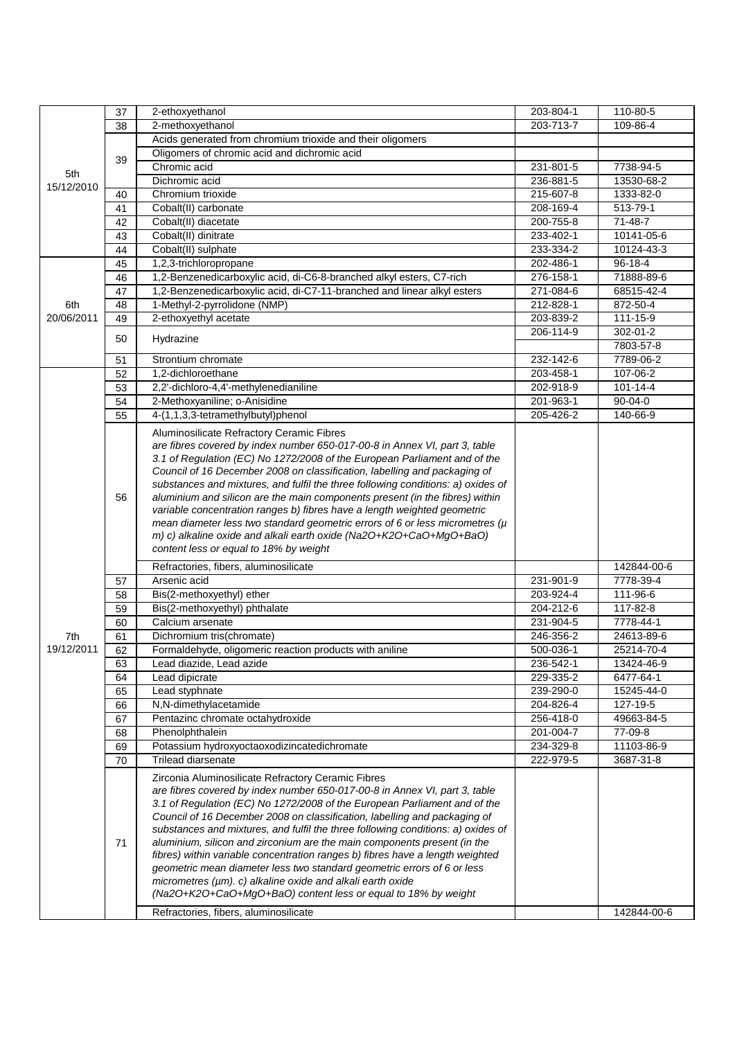|            | 37 | 2-ethoxyethanol                                                                                                         | 203-804-1       | 110-80-5       |
|------------|----|-------------------------------------------------------------------------------------------------------------------------|-----------------|----------------|
|            | 38 | 2-methoxyethanol                                                                                                        | 203-713-7       | 109-86-4       |
|            |    | Acids generated from chromium trioxide and their oligomers                                                              |                 |                |
|            |    | Oligomers of chromic acid and dichromic acid                                                                            |                 |                |
|            | 39 | Chromic acid                                                                                                            | 231-801-5       | 7738-94-5      |
| 5th        |    | Dichromic acid                                                                                                          | 236-881-5       | 13530-68-2     |
| 15/12/2010 | 40 | Chromium trioxide                                                                                                       | 215-607-8       | 1333-82-0      |
|            | 41 | Cobalt(II) carbonate                                                                                                    | 208-169-4       | 513-79-1       |
|            |    |                                                                                                                         | 200-755-8       | $71 - 48 - 7$  |
|            | 42 | Cobalt(II) diacetate<br>Cobalt(II) dinitrate                                                                            | 233-402-1       | 10141-05-6     |
|            | 43 |                                                                                                                         |                 |                |
|            | 44 | Cobalt(II) sulphate                                                                                                     | 233-334-2       | 10124-43-3     |
|            | 45 | 1,2,3-trichloropropane                                                                                                  | 202-486-1       | $96 - 18 - 4$  |
|            | 46 | 1,2-Benzenedicarboxylic acid, di-C6-8-branched alkyl esters, C7-rich                                                    | 276-158-1       | 71888-89-6     |
|            | 47 | 1,2-Benzenedicarboxylic acid, di-C7-11-branched and linear alkyl esters                                                 | 271-084-6       | 68515-42-4     |
| 6th        | 48 | 1-Methyl-2-pyrrolidone (NMP)                                                                                            | 212-828-1       | 872-50-4       |
| 20/06/2011 | 49 | 2-ethoxyethyl acetate                                                                                                   | 203-839-2       | 111-15-9       |
|            | 50 | Hydrazine                                                                                                               | 206-114-9       | 302-01-2       |
|            |    |                                                                                                                         |                 | 7803-57-8      |
|            | 51 | Strontium chromate                                                                                                      | 232-142-6       | 7789-06-2      |
|            | 52 | 1,2-dichloroethane                                                                                                      | 203-458-1       | 107-06-2       |
|            | 53 | 2,2'-dichloro-4,4'-methylenedianiline                                                                                   | 202-918-9       | $101 - 14 - 4$ |
|            | 54 | 2-Methoxyaniline; o-Anisidine                                                                                           | 201-963-1       | $90 - 04 - 0$  |
|            | 55 | 4-(1,1,3,3-tetramethylbutyl)phenol                                                                                      | $205 - 426 - 2$ | 140-66-9       |
|            |    |                                                                                                                         |                 |                |
|            |    | Aluminosilicate Refractory Ceramic Fibres<br>are fibres covered by index number 650-017-00-8 in Annex VI, part 3, table |                 |                |
|            |    | 3.1 of Regulation (EC) No 1272/2008 of the European Parliament and of the                                               |                 |                |
|            |    | Council of 16 December 2008 on classification, labelling and packaging of                                               |                 |                |
|            | 56 | substances and mixtures, and fulfil the three following conditions: a) oxides of                                        |                 |                |
|            |    | aluminium and silicon are the main components present (in the fibres) within                                            |                 |                |
|            |    | variable concentration ranges b) fibres have a length weighted geometric                                                |                 |                |
|            |    | mean diameter less two standard geometric errors of 6 or less micrometres $(\mu$                                        |                 |                |
|            |    | m) c) alkaline oxide and alkali earth oxide (Na2O+K2O+CaO+MgO+BaO)                                                      |                 |                |
|            |    | content less or equal to 18% by weight                                                                                  |                 |                |
|            |    |                                                                                                                         |                 |                |
|            |    | Refractories, fibers, aluminosilicate                                                                                   |                 | 142844-00-6    |
|            | 57 | Arsenic acid                                                                                                            | 231-901-9       | 7778-39-4      |
|            | 58 | Bis(2-methoxyethyl) ether                                                                                               | 203-924-4       | 111-96-6       |
|            | 59 | Bis(2-methoxyethyl) phthalate                                                                                           | 204-212-6       | 117-82-8       |
|            | 60 | Calcium arsenate                                                                                                        | 231-904-5       | 7778-44-1      |
| 7th        | 61 | Dichromium tris(chromate)                                                                                               | 246-356-2       | 24613-89-6     |
| 19/12/2011 | 62 | Formaldehyde, oligomeric reaction products with aniline                                                                 | 500-036-1       | 25214-70-4     |
|            | 63 | Lead diazide, Lead azide                                                                                                | 236-542-1       | 13424-46-9     |
|            | 64 | Lead dipicrate                                                                                                          | 229-335-2       | 6477-64-1      |
|            | 65 | Lead styphnate                                                                                                          | 239-290-0       | 15245-44-0     |
|            | 66 | N,N-dimethylacetamide                                                                                                   | 204-826-4       | 127-19-5       |
|            | 67 | Pentazinc chromate octahydroxide                                                                                        | 256-418-0       | 49663-84-5     |
|            | 68 | Phenolphthalein                                                                                                         | 201-004-7       | 77-09-8        |
|            | 69 | Potassium hydroxyoctaoxodizincatedichromate                                                                             | 234-329-8       | 11103-86-9     |
|            | 70 | <b>Trilead diarsenate</b>                                                                                               | 222-979-5       | 3687-31-8      |
|            |    |                                                                                                                         |                 |                |
|            |    | Zirconia Aluminosilicate Refractory Ceramic Fibres                                                                      |                 |                |
|            |    | are fibres covered by index number 650-017-00-8 in Annex VI, part 3, table                                              |                 |                |
|            |    | 3.1 of Regulation (EC) No 1272/2008 of the European Parliament and of the                                               |                 |                |
|            |    | Council of 16 December 2008 on classification, labelling and packaging of                                               |                 |                |
|            |    | substances and mixtures, and fulfil the three following conditions: a) oxides of                                        |                 |                |
|            | 71 | aluminium, silicon and zirconium are the main components present (in the                                                |                 |                |
|            |    | fibres) within variable concentration ranges b) fibres have a length weighted                                           |                 |                |
|            |    | geometric mean diameter less two standard geometric errors of 6 or less                                                 |                 |                |
|            |    | micrometres $(\mu m)$ . c) alkaline oxide and alkali earth oxide                                                        |                 |                |
|            |    | (Na2O+K2O+CaO+MgO+BaO) content less or equal to 18% by weight                                                           |                 |                |
|            |    | Refractories, fibers, aluminosilicate                                                                                   |                 | 142844-00-6    |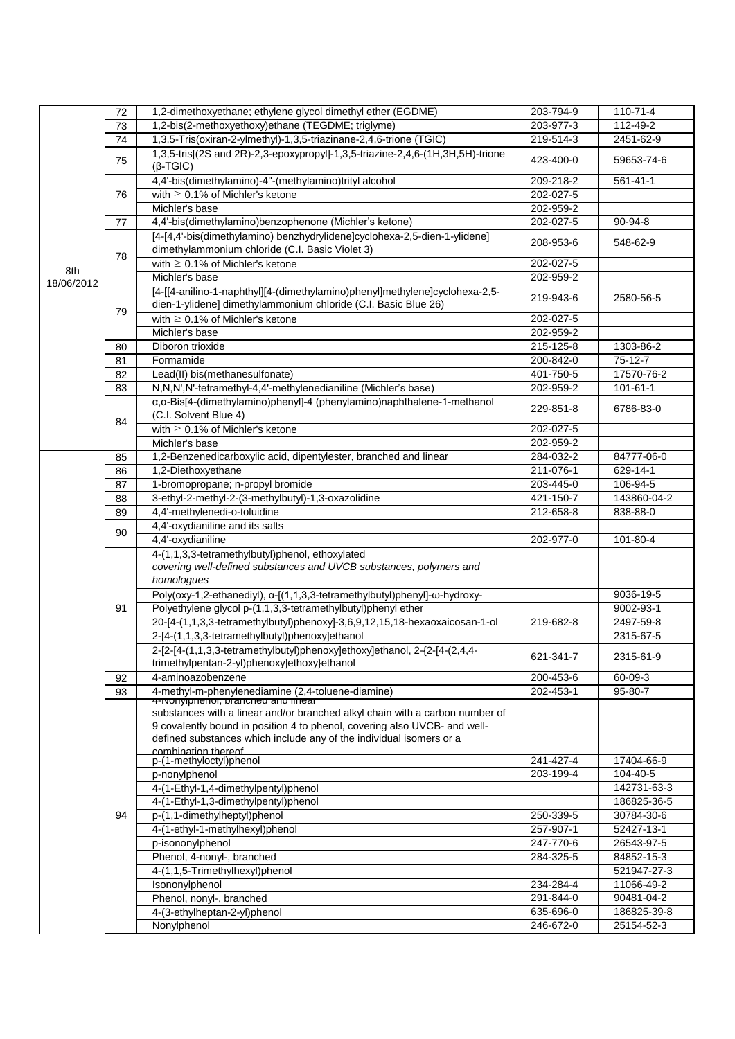|            | 72 | 1,2-dimethoxyethane; ethylene glycol dimethyl ether (EGDME)                                                                  | 203-794-9       | $110 - 71 - 4$ |
|------------|----|------------------------------------------------------------------------------------------------------------------------------|-----------------|----------------|
|            | 73 | 1,2-bis(2-methoxyethoxy)ethane (TEGDME; triglyme)                                                                            | 203-977-3       | 112-49-2       |
|            | 74 | 1,3,5-Tris(oxiran-2-ylmethyl)-1,3,5-triazinane-2,4,6-trione (TGIC)                                                           | 219-514-3       | 2451-62-9      |
|            | 75 | 1,3,5-tris[(2S and 2R)-2,3-epoxypropyl]-1,3,5-triazine-2,4,6-(1H,3H,5H)-trione<br>$(\beta$ -TGIC)                            | 423-400-0       | 59653-74-6     |
|            |    | 4,4'-bis(dimethylamino)-4"-(methylamino)trityl alcohol                                                                       | 209-218-2       | $561 - 41 - 1$ |
|            | 76 | with $\geq 0.1\%$ of Michler's ketone                                                                                        | 202-027-5       |                |
|            |    | Michler's base                                                                                                               | 202-959-2       |                |
|            |    |                                                                                                                              |                 |                |
|            | 77 | 4,4'-bis(dimethylamino)benzophenone (Michler's ketone)                                                                       | 202-027-5       | $90-94-8$      |
|            | 78 | [4-[4,4'-bis(dimethylamino) benzhydrylidene]cyclohexa-2,5-dien-1-ylidene]<br>dimethylammonium chloride (C.I. Basic Violet 3) | 208-953-6       | 548-62-9       |
| 8th        |    | with $\geq$ 0.1% of Michler's ketone                                                                                         | 202-027-5       |                |
| 18/06/2012 |    | Michler's base                                                                                                               | 202-959-2       |                |
|            |    | [4-[[4-anilino-1-naphthyl][4-(dimethylamino)phenyl]methylene]cyclohexa-2,5-                                                  |                 |                |
|            |    | dien-1-ylidene] dimethylammonium chloride (C.I. Basic Blue 26)                                                               | 219-943-6       | 2580-56-5      |
|            | 79 | with $\geq 0.1\%$ of Michler's ketone                                                                                        | 202-027-5       |                |
|            |    | Michler's base                                                                                                               | 202-959-2       |                |
|            | 80 | Diboron trioxide                                                                                                             | 215-125-8       | 1303-86-2      |
|            |    | Formamide                                                                                                                    | 200-842-0       | $75-12-7$      |
|            | 81 |                                                                                                                              |                 | 17570-76-2     |
|            | 82 | Lead(II) bis(methanesulfonate)                                                                                               | 401-750-5       |                |
|            | 83 | N,N,N',N'-tetramethyl-4,4'-methylenedianiline (Michler's base)                                                               | 202-959-2       | $101 - 61 - 1$ |
|            | 84 | a, a-Bis[4-(dimethylamino)phenyl]-4 (phenylamino)naphthalene-1-methanol<br>(C.I. Solvent Blue 4)                             | 229-851-8       | 6786-83-0      |
|            |    | with $\geq 0.1\%$ of Michler's ketone                                                                                        | 202-027-5       |                |
|            |    | Michler's base                                                                                                               | 202-959-2       |                |
|            | 85 | 1,2-Benzenedicarboxylic acid, dipentylester, branched and linear                                                             | 284-032-2       | 84777-06-0     |
|            | 86 | 1,2-Diethoxyethane                                                                                                           | 211-076-1       | 629-14-1       |
|            | 87 | 1-bromopropane; n-propyl bromide                                                                                             | 203-445-0       | 106-94-5       |
|            |    | 3-ethyl-2-methyl-2-(3-methylbutyl)-1,3-oxazolidine                                                                           | 421-150-7       | 143860-04-2    |
|            | 88 |                                                                                                                              |                 |                |
|            | 89 | 4,4'-methylenedi-o-toluidine                                                                                                 | $212 - 658 - 8$ | 838-88-0       |
|            | 90 | 4,4'-oxydianiline and its salts                                                                                              |                 |                |
|            |    | 4,4'-oxydianiline                                                                                                            | 202-977-0       | 101-80-4       |
|            |    | 4-(1,1,3,3-tetramethylbutyl)phenol, ethoxylated                                                                              |                 |                |
|            | 91 | covering well-defined substances and UVCB substances, polymers and                                                           |                 |                |
|            |    | homologues                                                                                                                   |                 |                |
|            |    | Poly(oxy-1,2-ethanediyl), a-[(1,1,3,3-tetramethylbutyl)phenyl]-w-hydroxy-                                                    |                 | 9036-19-5      |
|            |    | Polyethylene glycol p-(1,1,3,3-tetramethylbutyl)phenyl ether                                                                 |                 | 9002-93-1      |
|            |    | 20-[4-(1,1,3,3-tetramethylbutyl)phenoxy]-3,6,9,12,15,18-hexaoxaicosan-1-ol                                                   | 219-682-8       | 2497-59-8      |
|            |    | 2-[4-(1,1,3,3-tetramethylbutyl)phenoxy]ethanol                                                                               |                 | 2315-67-5      |
|            |    | 2-[2-[4-(1,1,3,3-tetramethylbutyl)phenoxy]ethoxy]ethanol, 2-{2-[4-(2,4,4-                                                    |                 |                |
|            |    | trimethylpentan-2-yl)phenoxy]ethoxy}ethanol                                                                                  | 621-341-7       | 2315-61-9      |
|            | 92 | 4-aminoazobenzene                                                                                                            | 200-453-6       | 60-09-3        |
|            | 93 |                                                                                                                              | 202-453-1       | 95-80-7        |
|            |    | 4-methyl-m-phenylenediamine (2,4-toluene-diamine)<br>4-ivoriyiprierior, branched and imear                                   |                 |                |
|            |    | substances with a linear and/or branched alkyl chain with a carbon number of                                                 |                 |                |
|            |    | 9 covalently bound in position 4 to phenol, covering also UVCB- and well-                                                    |                 |                |
|            |    | defined substances which include any of the individual isomers or a                                                          |                 |                |
|            |    | combination thereof                                                                                                          |                 |                |
|            |    | p-(1-methyloctyl)phenol                                                                                                      | 241-427-4       | 17404-66-9     |
|            |    | p-nonylphenol                                                                                                                | 203-199-4       | 104-40-5       |
|            |    | 4-(1-Ethyl-1,4-dimethylpentyl)phenol                                                                                         |                 | 142731-63-3    |
|            |    | 4-(1-Ethyl-1,3-dimethylpentyl)phenol                                                                                         |                 | 186825-36-5    |
|            | 94 | p-(1,1-dimethylheptyl)phenol                                                                                                 | 250-339-5       | 30784-30-6     |
|            |    | 4-(1-ethyl-1-methylhexyl)phenol                                                                                              | 257-907-1       | 52427-13-1     |
|            |    | p-isononylphenol                                                                                                             | 247-770-6       | 26543-97-5     |
|            |    | Phenol, 4-nonyl-, branched                                                                                                   | 284-325-5       | 84852-15-3     |
|            |    | 4-(1,1,5-Trimethylhexyl)phenol                                                                                               |                 | 521947-27-3    |
|            |    | Isononylphenol                                                                                                               | 234-284-4       | 11066-49-2     |
|            |    | Phenol, nonyl-, branched                                                                                                     | 291-844-0       | 90481-04-2     |
|            |    |                                                                                                                              | 635-696-0       | 186825-39-8    |
|            |    | 4-(3-ethylheptan-2-yl)phenol                                                                                                 |                 |                |
|            |    | Nonylphenol                                                                                                                  | 246-672-0       | 25154-52-3     |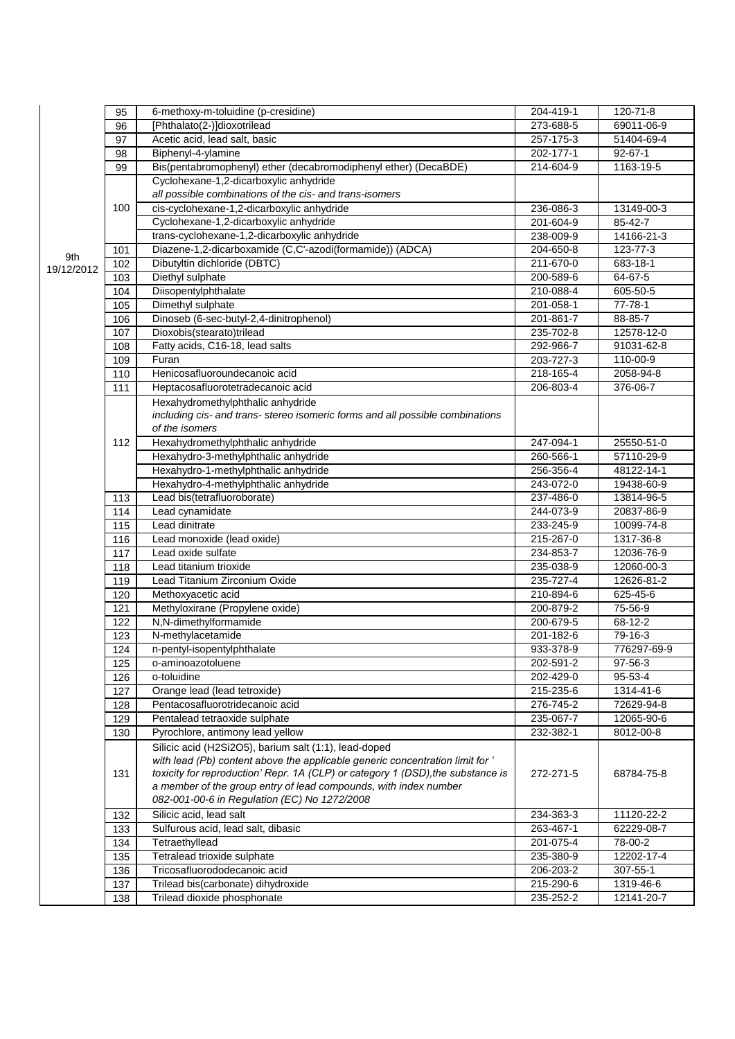|            | 95         | 6-methoxy-m-toluidine (p-cresidine)                                             | 204-419-1              | $120 - 71 - 8$           |
|------------|------------|---------------------------------------------------------------------------------|------------------------|--------------------------|
|            | 96         | [Phthalato(2-)]dioxotrilead                                                     | 273-688-5              | 69011-06-9               |
|            | 97         | Acetic acid, lead salt, basic                                                   | 257-175-3              | 51404-69-4               |
|            | 98         | Biphenyl-4-ylamine                                                              | 202-177-1              | $92 - 67 - 1$            |
|            | 99         | Bis(pentabromophenyl) ether (decabromodiphenyl ether) (DecaBDE)                 | 214-604-9              | $1163 - 19 - 5$          |
|            |            | Cyclohexane-1,2-dicarboxylic anhydride                                          |                        |                          |
|            |            | all possible combinations of the cis- and trans-isomers                         |                        |                          |
|            | 100        | cis-cyclohexane-1,2-dicarboxylic anhydride                                      | 236-086-3              | 13149-00-3               |
|            |            | Cyclohexane-1,2-dicarboxylic anhydride                                          | 201-604-9              | 85-42-7                  |
|            |            | trans-cyclohexane-1,2-dicarboxylic anhydride                                    | 238-009-9              | 14166-21-3               |
| 9th        | 101        | Diazene-1,2-dicarboxamide (C,C'-azodi(formamide)) (ADCA)                        | 204-650-8              | $123 - 77 - 3$           |
| 19/12/2012 | 102        | Dibutyltin dichloride (DBTC)                                                    | 211-670-0              | 683-18-1                 |
|            | 103        | Diethyl sulphate                                                                | 200-589-6              | 64-67-5                  |
|            | 104        | Diisopentylphthalate                                                            | 210-088-4              | 605-50-5                 |
|            | 105        | Dimethyl sulphate                                                               | 201-058-1              | 77-78-1                  |
|            | 106        | Dinoseb (6-sec-butyl-2,4-dinitrophenol)                                         | 201-861-7              | 88-85-7                  |
|            | 107        | Dioxobis(stearato)trilead                                                       | 235-702-8              | 12578-12-0               |
|            | 108        | Fatty acids, C16-18, lead salts                                                 | 292-966-7              | 91031-62-8               |
|            | 109        | Furan                                                                           | 203-727-3              | 110-00-9                 |
|            | 110        | Henicosafluoroundecanoic acid                                                   | 218-165-4              | 2058-94-8                |
|            | 111        | Heptacosafluorotetradecanoic acid                                               | 206-803-4              | 376-06-7                 |
|            |            | Hexahydromethylphthalic anhydride                                               |                        |                          |
|            |            | including cis- and trans- stereo isomeric forms and all possible combinations   |                        |                          |
|            |            | of the isomers                                                                  |                        |                          |
|            | 112        | Hexahydromethylphthalic anhydride                                               | 247-094-1              | 25550-51-0               |
|            |            | Hexahydro-3-methylphthalic anhydride                                            | 260-566-1              | 57110-29-9               |
|            |            | Hexahydro-1-methylphthalic anhydride<br>Hexahydro-4-methylphthalic anhydride    | 256-356-4<br>243-072-0 | 48122-14-1<br>19438-60-9 |
|            |            | Lead bis(tetrafluoroborate)                                                     | 237-486-0              |                          |
|            | 113        | Lead cynamidate                                                                 | 244-073-9              | 13814-96-5<br>20837-86-9 |
|            | 114<br>115 | Lead dinitrate                                                                  | 233-245-9              | 10099-74-8               |
|            | 116        | Lead monoxide (lead oxide)                                                      | 215-267-0              | 1317-36-8                |
|            | 117        | Lead oxide sulfate                                                              | 234-853-7              | 12036-76-9               |
|            | 118        | Lead titanium trioxide                                                          | 235-038-9              | 12060-00-3               |
|            | 119        | Lead Titanium Zirconium Oxide                                                   | 235-727-4              | 12626-81-2               |
|            | 120        | Methoxyacetic acid                                                              | 210-894-6              | 625-45-6                 |
|            | 121        | Methyloxirane (Propylene oxide)                                                 | 200-879-2              | 75-56-9                  |
|            | 122        | N,N-dimethylformamide                                                           | 200-679-5              | 68-12-2                  |
|            | 123        | N-methylacetamide                                                               | 201-182-6              | $79-16-3$                |
|            | 124        | n-pentyl-isopentylphthalate                                                     | 933-378-9              | 776297-69-9              |
|            | 125        | o-aminoazotoluene                                                               | 202-591-2              | 97-56-3                  |
|            | 126        | o-toluidine                                                                     | 202-429-0              | 95-53-4                  |
|            | 127        | Orange lead (lead tetroxide)                                                    | 215-235-6              | 1314-41-6                |
|            | 128        | Pentacosafluorotridecanoic acid                                                 | 276-745-2              | 72629-94-8               |
|            | 129        | Pentalead tetraoxide sulphate                                                   | 235-067-7              | 12065-90-6               |
|            | 130        | Pyrochlore, antimony lead yellow                                                | 232-382-1              | 8012-00-8                |
|            |            | Silicic acid (H2Si2O5), barium salt (1:1), lead-doped                           |                        |                          |
|            |            | with lead (Pb) content above the applicable generic concentration limit for '   |                        |                          |
|            | 131        | toxicity for reproduction' Repr. 1A (CLP) or category 1 (DSD), the substance is | 272-271-5              | 68784-75-8               |
|            |            | a member of the group entry of lead compounds, with index number                |                        |                          |
|            |            | 082-001-00-6 in Regulation (EC) No 1272/2008                                    |                        |                          |
|            | 132        | Silicic acid, lead salt                                                         | 234-363-3              | 11120-22-2               |
|            | 133        | Sulfurous acid, lead salt, dibasic                                              | $263 - 467 - 1$        | 62229-08-7               |
|            | 134        | Tetraethyllead                                                                  | 201-075-4              | 78-00-2                  |
|            | 135        | Tetralead trioxide sulphate                                                     | 235-380-9              | 12202-17-4               |
|            | 136        | Tricosafluorododecanoic acid                                                    | 206-203-2              | $307 - 55 - 1$           |
|            | 137        | Trilead bis(carbonate) dihydroxide                                              | 215-290-6              | 1319-46-6                |
|            | 138        | Trilead dioxide phosphonate                                                     | 235-252-2              | 12141-20-7               |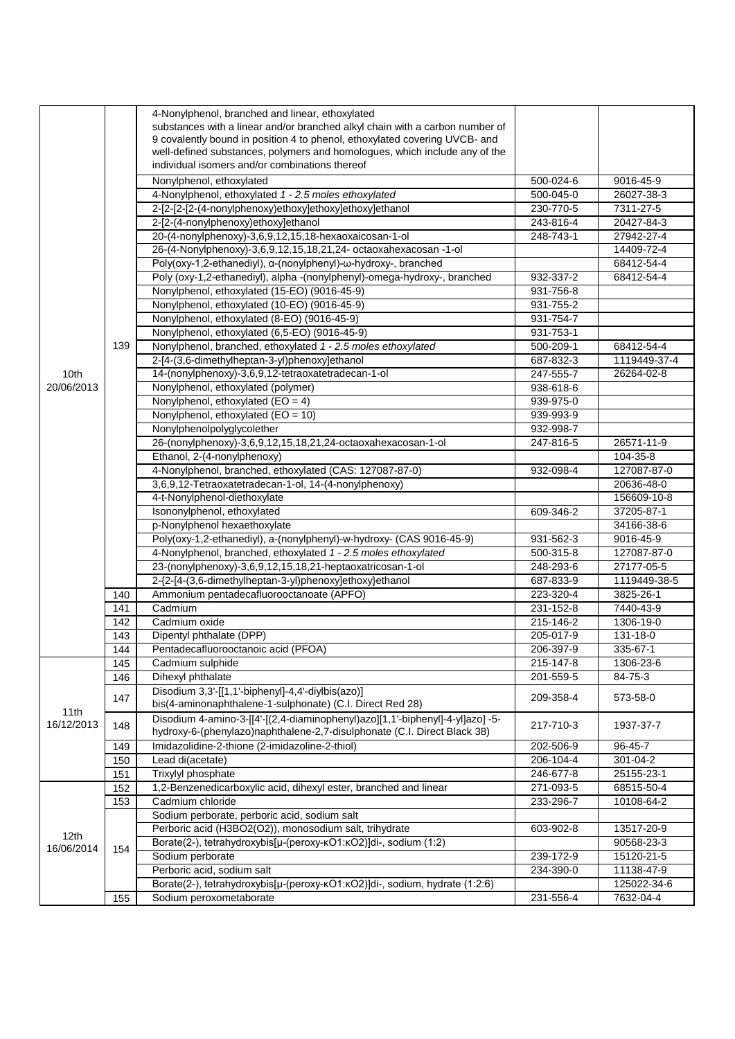|            |     | 4-Nonylphenol, branched and linear, ethoxylated<br>substances with a linear and/or branched alkyl chain with a carbon number of                           |           |                |
|------------|-----|-----------------------------------------------------------------------------------------------------------------------------------------------------------|-----------|----------------|
|            |     | 9 covalently bound in position 4 to phenol, ethoxylated covering UVCB- and<br>well-defined substances, polymers and homologues, which include any of the  |           |                |
|            |     | individual isomers and/or combinations thereof                                                                                                            |           |                |
|            |     | Nonylphenol, ethoxylated                                                                                                                                  | 500-024-6 | 9016-45-9      |
|            |     | 4-Nonylphenol, ethoxylated 1 - 2.5 moles ethoxylated                                                                                                      | 500-045-0 | 26027-38-3     |
|            |     | 2-[2-[2-(4-nonylphenoxy)ethoxy]ethoxy]ethoxy]ethanol                                                                                                      | 230-770-5 | 7311-27-5      |
|            |     | 2-[2-(4-nonylphenoxy)ethoxy]ethanol                                                                                                                       | 243-816-4 | 20427-84-3     |
|            |     | 20-(4-nonylphenoxy)-3,6,9,12,15,18-hexaoxaicosan-1-ol                                                                                                     | 248-743-1 | 27942-27-4     |
|            |     | 26-(4-Nonylphenoxy)-3,6,9,12,15,18,21,24- octaoxahexacosan -1-ol                                                                                          |           | 14409-72-4     |
|            |     | Poly(oxy-1,2-ethanediyl), a-(nonylphenyl)-w-hydroxy-, branched                                                                                            |           | 68412-54-4     |
|            |     | Poly (oxy-1,2-ethanediyl), alpha -(nonylphenyl)-omega-hydroxy-, branched                                                                                  | 932-337-2 | 68412-54-4     |
|            |     | Nonylphenol, ethoxylated (15-EO) (9016-45-9)                                                                                                              | 931-756-8 |                |
|            |     | Nonylphenol, ethoxylated (10-EO) (9016-45-9)                                                                                                              | 931-755-2 |                |
|            |     | Nonylphenol, ethoxylated (8-EO) (9016-45-9)                                                                                                               | 931-754-7 |                |
|            |     | Nonylphenol, ethoxylated (6,5-EO) (9016-45-9)                                                                                                             | 931-753-1 |                |
|            | 139 | Nonylphenol, branched, ethoxylated 1 - 2.5 moles ethoxylated                                                                                              | 500-209-1 | 68412-54-4     |
|            |     | 2-[4-(3,6-dimethylheptan-3-yl)phenoxy]ethanol                                                                                                             | 687-832-3 | 1119449-37-4   |
| 10th       |     | 14-(nonylphenoxy)-3,6,9,12-tetraoxatetradecan-1-ol                                                                                                        | 247-555-7 | 26264-02-8     |
| 20/06/2013 |     | Nonylphenol, ethoxylated (polymer)                                                                                                                        | 938-618-6 |                |
|            |     | Nonylphenol, ethoxylated $(EO = 4)$                                                                                                                       | 939-975-0 |                |
|            |     | Nonylphenol, ethoxylated (EO = 10)                                                                                                                        | 939-993-9 |                |
|            |     | Nonylphenolpolyglycolether                                                                                                                                | 932-998-7 |                |
|            |     | 26-(nonylphenoxy)-3,6,9,12,15,18,21,24-octaoxahexacosan-1-ol                                                                                              | 247-816-5 | 26571-11-9     |
|            |     | Ethanol, 2-(4-nonylphenoxy)                                                                                                                               |           | 104-35-8       |
|            |     | 4-Nonylphenol, branched, ethoxylated (CAS: 127087-87-0)                                                                                                   | 932-098-4 | 127087-87-0    |
|            |     | 3,6,9,12-Tetraoxatetradecan-1-ol, 14-(4-nonylphenoxy)                                                                                                     |           | 20636-48-0     |
|            |     | 4-t-Nonylphenol-diethoxylate                                                                                                                              |           | 156609-10-8    |
|            |     | Isononylphenol, ethoxylated                                                                                                                               | 609-346-2 | 37205-87-1     |
|            |     | p-Nonylphenol hexaethoxylate                                                                                                                              |           | 34166-38-6     |
|            |     | Poly(oxy-1,2-ethanediyl), a-(nonylphenyl)-w-hydroxy- (CAS 9016-45-9)                                                                                      | 931-562-3 | 9016-45-9      |
|            |     | 4-Nonylphenol, branched, ethoxylated 1 - 2.5 moles ethoxylated                                                                                            | 500-315-8 | 127087-87-0    |
|            |     | 23-(nonylphenoxy)-3,6,9,12,15,18,21-heptaoxatricosan-1-ol                                                                                                 | 248-293-6 | 27177-05-5     |
|            |     | 2-{2-[4-(3,6-dimethylheptan-3-yl)phenoxy]ethoxy}ethanol                                                                                                   | 687-833-9 | 1119449-38-5   |
|            | 140 | Ammonium pentadecafluorooctanoate (APFO)                                                                                                                  | 223-320-4 | 3825-26-1      |
|            | 141 | Cadmium                                                                                                                                                   | 231-152-8 | 7440-43-9      |
|            | 142 | Cadmium oxide                                                                                                                                             | 215-146-2 | 1306-19-0      |
|            | 143 | Dipentyl phthalate (DPP)                                                                                                                                  | 205-017-9 | 131-18-0       |
|            | 144 | Pentadecafluorooctanoic acid (PFOA)                                                                                                                       | 206-397-9 | 335-67-1       |
|            | 145 | Cadmium sulphide                                                                                                                                          | 215-147-8 | 1306-23-6      |
|            | 146 | Dihexyl phthalate                                                                                                                                         | 201-559-5 | 84-75-3        |
| 11th       | 147 | Disodium 3,3'-[[1,1'-biphenyl]-4,4'-diylbis(azo)]<br>bis(4-aminonaphthalene-1-sulphonate) (C.I. Direct Red 28)                                            | 209-358-4 | 573-58-0       |
| 16/12/2013 | 148 | Disodium 4-amino-3-[[4'-[(2,4-diaminophenyl)azo][1,1'-biphenyl]-4-yl]azo] -5-<br>hydroxy-6-(phenylazo)naphthalene-2,7-disulphonate (C.I. Direct Black 38) | 217-710-3 | 1937-37-7      |
|            | 149 | Imidazolidine-2-thione (2-imidazoline-2-thiol)                                                                                                            | 202-506-9 | 96-45-7        |
|            | 150 | Lead di(acetate)                                                                                                                                          | 206-104-4 | $301 - 04 - 2$ |
|            | 151 | Trixylyl phosphate                                                                                                                                        | 246-677-8 | 25155-23-1     |
|            | 152 | 1,2-Benzenedicarboxylic acid, dihexyl ester, branched and linear                                                                                          | 271-093-5 | 68515-50-4     |
|            | 153 | Cadmium chloride                                                                                                                                          | 233-296-7 | 10108-64-2     |
|            |     | Sodium perborate, perboric acid, sodium salt                                                                                                              |           |                |
| 12th       |     | Perboric acid (H3BO2(O2)), monosodium salt, trihydrate                                                                                                    | 603-902-8 | 13517-20-9     |
| 16/06/2014 | 154 | Borate(2-), tetrahydroxybis[µ-(peroxy-kO1:kO2)]di-, sodium (1:2)                                                                                          |           | 90568-23-3     |
|            |     | Sodium perborate                                                                                                                                          | 239-172-9 | 15120-21-5     |
|            |     | Perboric acid, sodium salt                                                                                                                                | 234-390-0 | 11138-47-9     |
|            |     | Borate(2-), tetrahydroxybis[µ-(peroxy-KO1:KO2)]di-, sodium, hydrate (1:2:6)                                                                               |           | 125022-34-6    |
|            | 155 | Sodium peroxometaborate                                                                                                                                   | 231-556-4 | 7632-04-4      |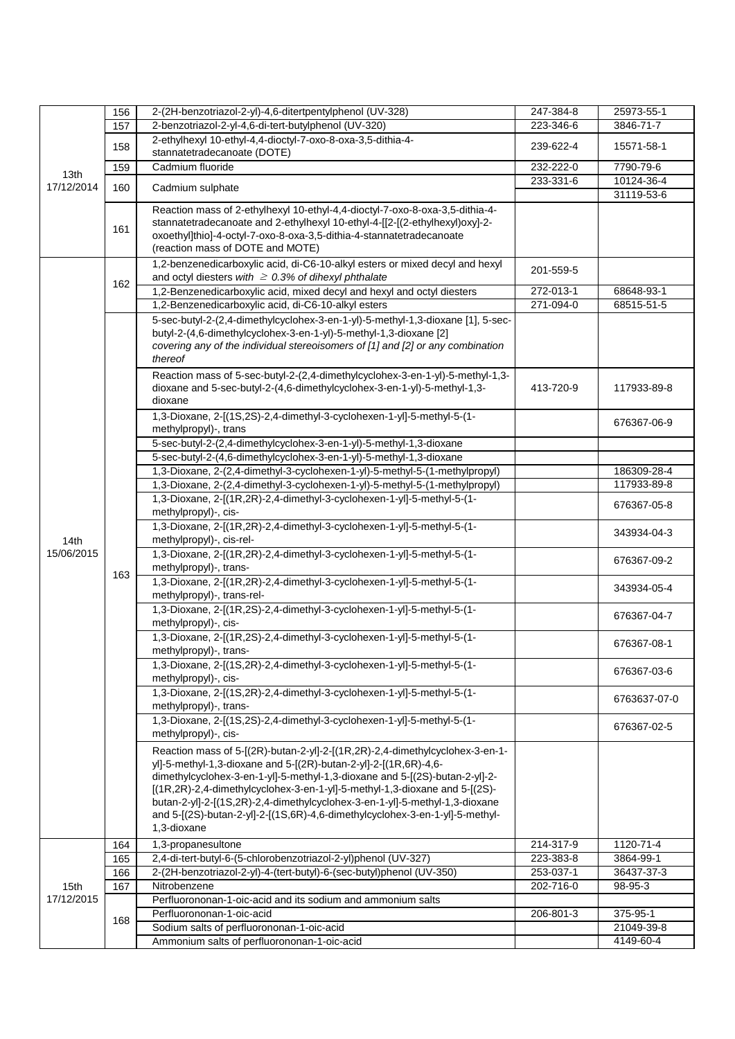|                  | 156 | 2-(2H-benzotriazol-2-yl)-4,6-ditertpentylphenol (UV-328)                                                                                                                                                                                                                                                                                                                                                                                                                                    | 247-384-8 | 25973-55-1   |
|------------------|-----|---------------------------------------------------------------------------------------------------------------------------------------------------------------------------------------------------------------------------------------------------------------------------------------------------------------------------------------------------------------------------------------------------------------------------------------------------------------------------------------------|-----------|--------------|
|                  | 157 | 2-benzotriazol-2-yl-4,6-di-tert-butylphenol (UV-320)                                                                                                                                                                                                                                                                                                                                                                                                                                        | 223-346-6 | 3846-71-7    |
|                  | 158 | 2-ethylhexyl 10-ethyl-4,4-dioctyl-7-oxo-8-oxa-3,5-dithia-4-<br>stannatetradecanoate (DOTE)                                                                                                                                                                                                                                                                                                                                                                                                  | 239-622-4 | 15571-58-1   |
|                  | 159 | Cadmium fluoride                                                                                                                                                                                                                                                                                                                                                                                                                                                                            | 232-222-0 | 7790-79-6    |
| 13th             |     |                                                                                                                                                                                                                                                                                                                                                                                                                                                                                             | 233-331-6 | 10124-36-4   |
| 17/12/2014       | 160 | Cadmium sulphate                                                                                                                                                                                                                                                                                                                                                                                                                                                                            |           | 31119-53-6   |
|                  | 161 | Reaction mass of 2-ethylhexyl 10-ethyl-4,4-dioctyl-7-oxo-8-oxa-3,5-dithia-4-<br>stannatetradecanoate and 2-ethylhexyl 10-ethyl-4-[[2-[(2-ethylhexyl)oxy]-2-<br>oxoethyl]thio]-4-octyl-7-oxo-8-oxa-3,5-dithia-4-stannatetradecanoate<br>(reaction mass of DOTE and MOTE)                                                                                                                                                                                                                     |           |              |
|                  | 162 | 1,2-benzenedicarboxylic acid, di-C6-10-alkyl esters or mixed decyl and hexyl<br>and octyl diesters with $\geq 0.3\%$ of dihexyl phthalate                                                                                                                                                                                                                                                                                                                                                   | 201-559-5 |              |
|                  |     | 1,2-Benzenedicarboxylic acid, mixed decyl and hexyl and octyl diesters                                                                                                                                                                                                                                                                                                                                                                                                                      | 272-013-1 | 68648-93-1   |
|                  |     | 1,2-Benzenedicarboxylic acid, di-C6-10-alkyl esters                                                                                                                                                                                                                                                                                                                                                                                                                                         | 271-094-0 | 68515-51-5   |
|                  |     | 5-sec-butyl-2-(2,4-dimethylcyclohex-3-en-1-yl)-5-methyl-1,3-dioxane [1], 5-sec-<br>butyl-2-(4,6-dimethylcyclohex-3-en-1-yl)-5-methyl-1,3-dioxane [2]<br>covering any of the individual stereoisomers of [1] and [2] or any combination<br>thereof                                                                                                                                                                                                                                           |           |              |
|                  |     | Reaction mass of 5-sec-butyl-2-(2,4-dimethylcyclohex-3-en-1-yl)-5-methyl-1,3-<br>dioxane and 5-sec-butyl-2-(4,6-dimethylcyclohex-3-en-1-yl)-5-methyl-1,3-<br>dioxane                                                                                                                                                                                                                                                                                                                        | 413-720-9 | 117933-89-8  |
|                  |     | 1,3-Dioxane, 2-[(1S,2S)-2,4-dimethyl-3-cyclohexen-1-yl]-5-methyl-5-(1-<br>methylpropyl)-, trans                                                                                                                                                                                                                                                                                                                                                                                             |           | 676367-06-9  |
|                  |     | 5-sec-butyl-2-(2,4-dimethylcyclohex-3-en-1-yl)-5-methyl-1,3-dioxane                                                                                                                                                                                                                                                                                                                                                                                                                         |           |              |
|                  |     | 5-sec-butyl-2-(4,6-dimethylcyclohex-3-en-1-yl)-5-methyl-1,3-dioxane                                                                                                                                                                                                                                                                                                                                                                                                                         |           |              |
|                  |     | 1,3-Dioxane, 2-(2,4-dimethyl-3-cyclohexen-1-yl)-5-methyl-5-(1-methylpropyl)                                                                                                                                                                                                                                                                                                                                                                                                                 |           | 186309-28-4  |
|                  |     | 1,3-Dioxane, 2-(2,4-dimethyl-3-cyclohexen-1-yl)-5-methyl-5-(1-methylpropyl)                                                                                                                                                                                                                                                                                                                                                                                                                 |           | 117933-89-8  |
|                  |     | 1,3-Dioxane, 2-[(1R,2R)-2,4-dimethyl-3-cyclohexen-1-yl]-5-methyl-5-(1-<br>methylpropyl)-, cis-                                                                                                                                                                                                                                                                                                                                                                                              |           | 676367-05-8  |
| 14 <sub>th</sub> |     | 1,3-Dioxane, 2-[(1R,2R)-2,4-dimethyl-3-cyclohexen-1-yl]-5-methyl-5-(1-<br>methylpropyl)-, cis-rel-                                                                                                                                                                                                                                                                                                                                                                                          |           | 343934-04-3  |
| 15/06/2015       | 163 | 1,3-Dioxane, 2-[(1R,2R)-2,4-dimethyl-3-cyclohexen-1-yl]-5-methyl-5-(1-<br>methylpropyl)-, trans-                                                                                                                                                                                                                                                                                                                                                                                            |           | 676367-09-2  |
|                  |     | 1,3-Dioxane, 2-[(1R,2R)-2,4-dimethyl-3-cyclohexen-1-yl]-5-methyl-5-(1-<br>methylpropyl)-, trans-rel-                                                                                                                                                                                                                                                                                                                                                                                        |           | 343934-05-4  |
|                  |     | 1,3-Dioxane, 2-[(1R,2S)-2,4-dimethyl-3-cyclohexen-1-yl]-5-methyl-5-(1-<br>methylpropyl)-, cis-                                                                                                                                                                                                                                                                                                                                                                                              |           | 676367-04-7  |
|                  |     | 1,3-Dioxane, 2-[(1R,2S)-2,4-dimethyl-3-cyclohexen-1-yl]-5-methyl-5-(1-<br>methylpropyl)-, trans-                                                                                                                                                                                                                                                                                                                                                                                            |           | 676367-08-1  |
|                  |     | 1,3-Dioxane, 2-[(1S,2R)-2,4-dimethyl-3-cyclohexen-1-yl]-5-methyl-5-(1-<br>methylpropyl)-, cis-                                                                                                                                                                                                                                                                                                                                                                                              |           | 676367-03-6  |
|                  |     | 1,3-Dioxane, 2-[(1S,2R)-2,4-dimethyl-3-cyclohexen-1-yl]-5-methyl-5-(1-<br>methylpropyl)-, trans-                                                                                                                                                                                                                                                                                                                                                                                            |           | 6763637-07-0 |
|                  |     | 1,3-Dioxane, 2-[(1S,2S)-2,4-dimethyl-3-cyclohexen-1-yl]-5-methyl-5-(1-<br>methylpropyl)-, cis-                                                                                                                                                                                                                                                                                                                                                                                              |           | 676367-02-5  |
|                  |     | Reaction mass of 5-[(2R)-butan-2-yl]-2-[(1R,2R)-2,4-dimethylcyclohex-3-en-1-<br>yl]-5-methyl-1,3-dioxane and 5-[(2R)-butan-2-yl]-2-[(1R,6R)-4,6-<br>dimethylcyclohex-3-en-1-yl]-5-methyl-1,3-dioxane and 5-[(2S)-butan-2-yl]-2-<br>[(1R,2R)-2,4-dimethylcyclohex-3-en-1-yl]-5-methyl-1,3-dioxane and 5-[(2S)-<br>butan-2-yl]-2-[(1S,2R)-2,4-dimethylcyclohex-3-en-1-yl]-5-methyl-1,3-dioxane<br>and 5-[(2S)-butan-2-yl]-2-[(1S,6R)-4,6-dimethylcyclohex-3-en-1-yl]-5-methyl-<br>1,3-dioxane |           |              |
|                  | 164 | 1,3-propanesultone                                                                                                                                                                                                                                                                                                                                                                                                                                                                          | 214-317-9 | 1120-71-4    |
|                  | 165 | 2,4-di-tert-butyl-6-(5-chlorobenzotriazol-2-yl)phenol (UV-327)                                                                                                                                                                                                                                                                                                                                                                                                                              | 223-383-8 | 3864-99-1    |
|                  | 166 | 2-(2H-benzotriazol-2-yl)-4-(tert-butyl)-6-(sec-butyl)phenol (UV-350)                                                                                                                                                                                                                                                                                                                                                                                                                        | 253-037-1 | 36437-37-3   |
| 15th             | 167 | Nitrobenzene                                                                                                                                                                                                                                                                                                                                                                                                                                                                                | 202-716-0 | 98-95-3      |
| 17/12/2015       |     | Perfluorononan-1-oic-acid and its sodium and ammonium salts                                                                                                                                                                                                                                                                                                                                                                                                                                 |           |              |
|                  |     | Perfluorononan-1-oic-acid                                                                                                                                                                                                                                                                                                                                                                                                                                                                   | 206-801-3 | 375-95-1     |
|                  | 168 | Sodium salts of perfluorononan-1-oic-acid                                                                                                                                                                                                                                                                                                                                                                                                                                                   |           | 21049-39-8   |
|                  |     | Ammonium salts of perfluorononan-1-oic-acid                                                                                                                                                                                                                                                                                                                                                                                                                                                 |           | 4149-60-4    |
|                  |     |                                                                                                                                                                                                                                                                                                                                                                                                                                                                                             |           |              |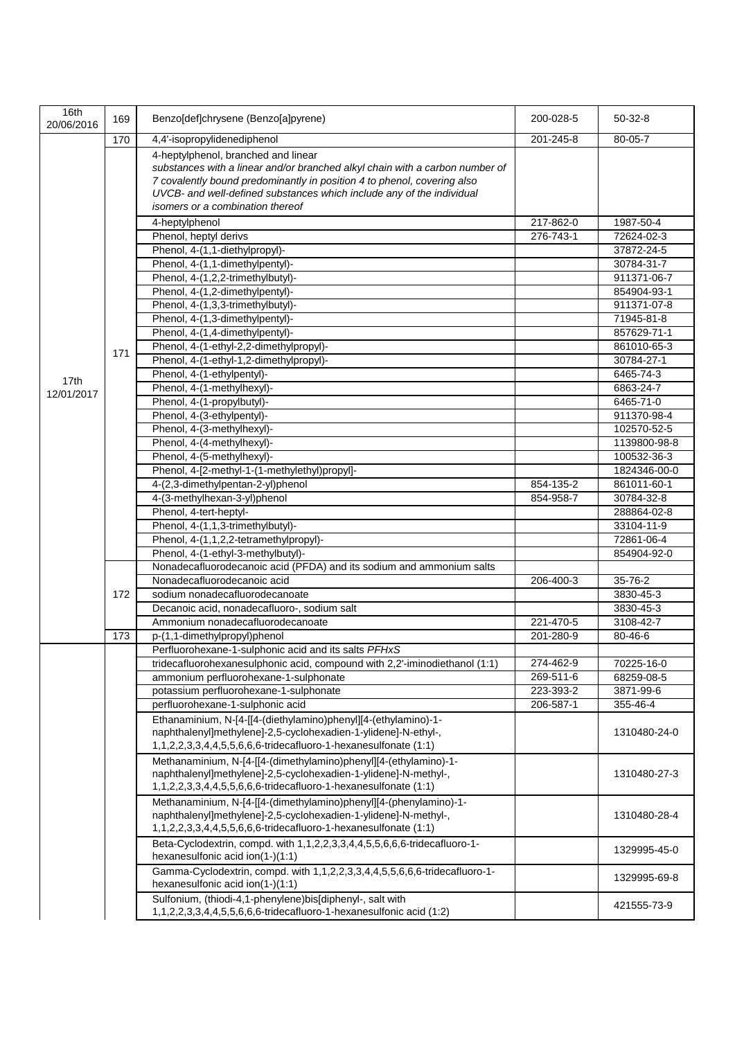| 16th<br>20/06/2016 | 169 | Benzo[def]chrysene (Benzo[a]pyrene)                                                                                                                                                                                                                                                                         | 200-028-5 | $50-32-8$    |
|--------------------|-----|-------------------------------------------------------------------------------------------------------------------------------------------------------------------------------------------------------------------------------------------------------------------------------------------------------------|-----------|--------------|
|                    | 170 | 4,4'-isopropylidenediphenol                                                                                                                                                                                                                                                                                 | 201-245-8 | 80-05-7      |
|                    |     | 4-heptylphenol, branched and linear<br>substances with a linear and/or branched alkyl chain with a carbon number of<br>7 covalently bound predominantly in position 4 to phenol, covering also<br>UVCB- and well-defined substances which include any of the individual<br>isomers or a combination thereof |           |              |
|                    |     |                                                                                                                                                                                                                                                                                                             | 217-862-0 | 1987-50-4    |
|                    |     | 4-heptylphenol<br>Phenol, heptyl derivs                                                                                                                                                                                                                                                                     | 276-743-1 | 72624-02-3   |
|                    |     | Phenol, 4-(1,1-diethylpropyl)-                                                                                                                                                                                                                                                                              |           | 37872-24-5   |
|                    |     | Phenol, 4-(1,1-dimethylpentyl)-                                                                                                                                                                                                                                                                             |           | 30784-31-7   |
|                    |     | Phenol, 4-(1,2,2-trimethylbutyl)-                                                                                                                                                                                                                                                                           |           | 911371-06-7  |
|                    |     | Phenol, 4-(1,2-dimethylpentyl)-                                                                                                                                                                                                                                                                             |           | 854904-93-1  |
|                    |     | Phenol, 4-(1,3,3-trimethylbutyl)-                                                                                                                                                                                                                                                                           |           | 911371-07-8  |
|                    |     | Phenol, 4-(1,3-dimethylpentyl)-                                                                                                                                                                                                                                                                             |           | 71945-81-8   |
|                    |     | Phenol, 4-(1,4-dimethylpentyl)-                                                                                                                                                                                                                                                                             |           | 857629-71-1  |
|                    | 171 | Phenol, 4-(1-ethyl-2,2-dimethylpropyl)-                                                                                                                                                                                                                                                                     |           | 861010-65-3  |
|                    |     | Phenol, 4-(1-ethyl-1,2-dimethylpropyl)-                                                                                                                                                                                                                                                                     |           | 30784-27-1   |
| 17th               |     | Phenol, 4-(1-ethylpentyl)-                                                                                                                                                                                                                                                                                  |           | 6465-74-3    |
| 12/01/2017         |     | Phenol, 4-(1-methylhexyl)-                                                                                                                                                                                                                                                                                  |           | 6863-24-7    |
|                    |     | Phenol, 4-(1-propylbutyl)-                                                                                                                                                                                                                                                                                  |           | 6465-71-0    |
|                    |     | Phenol, 4-(3-ethylpentyl)-                                                                                                                                                                                                                                                                                  |           | 911370-98-4  |
|                    |     | Phenol, 4-(3-methylhexyl)-                                                                                                                                                                                                                                                                                  |           | 102570-52-5  |
|                    |     | Phenol, 4-(4-methylhexyl)-                                                                                                                                                                                                                                                                                  |           | 1139800-98-8 |
|                    |     | Phenol, 4-(5-methylhexyl)-                                                                                                                                                                                                                                                                                  |           | 100532-36-3  |
|                    |     | Phenol, 4-[2-methyl-1-(1-methylethyl)propyl]-                                                                                                                                                                                                                                                               |           | 1824346-00-0 |
|                    |     | 4-(2,3-dimethylpentan-2-yl)phenol                                                                                                                                                                                                                                                                           | 854-135-2 | 861011-60-1  |
|                    |     | 4-(3-methylhexan-3-yl)phenol                                                                                                                                                                                                                                                                                | 854-958-7 | 30784-32-8   |
|                    |     | Phenol, 4-tert-heptyl-                                                                                                                                                                                                                                                                                      |           | 288864-02-8  |
|                    |     | Phenol, 4-(1,1,3-trimethylbutyl)-                                                                                                                                                                                                                                                                           |           | 33104-11-9   |
|                    |     | Phenol, 4-(1,1,2,2-tetramethylpropyl)-                                                                                                                                                                                                                                                                      |           | 72861-06-4   |
|                    |     | Phenol, 4-(1-ethyl-3-methylbutyl)-                                                                                                                                                                                                                                                                          |           | 854904-92-0  |
|                    |     | Nonadecafluorodecanoic acid (PFDA) and its sodium and ammonium salts<br>Nonadecafluorodecanoic acid                                                                                                                                                                                                         | 206-400-3 | 35-76-2      |
|                    | 172 | sodium nonadecafluorodecanoate                                                                                                                                                                                                                                                                              |           | 3830-45-3    |
|                    |     | Decanoic acid, nonadecafluoro-, sodium salt                                                                                                                                                                                                                                                                 |           | 3830-45-3    |
|                    |     | Ammonium nonadecafluorodecanoate                                                                                                                                                                                                                                                                            | 221-470-5 | 3108-42-7    |
|                    | 173 | p-(1,1-dimethylpropyl)phenol                                                                                                                                                                                                                                                                                | 201-280-9 | 80-46-6      |
|                    |     | Perfluorohexane-1-sulphonic acid and its salts PFHxS                                                                                                                                                                                                                                                        |           |              |
|                    |     | tridecafluorohexanesulphonic acid, compound with 2,2'-iminodiethanol (1:1)                                                                                                                                                                                                                                  | 274-462-9 | 70225-16-0   |
|                    |     | ammonium perfluorohexane-1-sulphonate                                                                                                                                                                                                                                                                       | 269-511-6 | 68259-08-5   |
|                    |     | potassium perfluorohexane-1-sulphonate                                                                                                                                                                                                                                                                      | 223-393-2 | 3871-99-6    |
|                    |     | perfluorohexane-1-sulphonic acid                                                                                                                                                                                                                                                                            | 206-587-1 | 355-46-4     |
|                    |     | Ethanaminium, N-[4-[[4-(diethylamino)phenyl][4-(ethylamino)-1-                                                                                                                                                                                                                                              |           |              |
|                    |     | naphthalenyl]methylene]-2,5-cyclohexadien-1-ylidene]-N-ethyl-,                                                                                                                                                                                                                                              |           | 1310480-24-0 |
|                    |     | 1,1,2,2,3,3,4,4,5,5,6,6,6-tridecafluoro-1-hexanesulfonate (1:1)                                                                                                                                                                                                                                             |           |              |
|                    |     | Methanaminium, N-[4-[[4-(dimethylamino)phenyl][4-(ethylamino)-1-<br>naphthalenyl]methylene]-2,5-cyclohexadien-1-ylidene]-N-methyl-,                                                                                                                                                                         |           | 1310480-27-3 |
|                    |     | 1,1,2,2,3,3,4,4,5,5,6,6,6-tridecafluoro-1-hexanesulfonate (1:1)                                                                                                                                                                                                                                             |           |              |
|                    |     | Methanaminium, N-[4-[[4-(dimethylamino)phenyl][4-(phenylamino)-1-                                                                                                                                                                                                                                           |           |              |
|                    |     | naphthalenyl]methylene]-2,5-cyclohexadien-1-ylidene]-N-methyl-,<br>1,1,2,2,3,3,4,4,5,5,6,6,6-tridecafluoro-1-hexanesulfonate (1:1)                                                                                                                                                                          |           | 1310480-28-4 |
|                    |     | Beta-Cyclodextrin, compd. with 1,1,2,2,3,3,4,4,5,5,6,6,6-tridecafluoro-1-<br>hexanesulfonic acid ion(1-)(1:1)                                                                                                                                                                                               |           | 1329995-45-0 |
|                    |     | Gamma-Cyclodextrin, compd. with 1,1,2,2,3,3,4,4,5,5,6,6,6-tridecafluoro-1-<br>hexanesulfonic acid ion(1-)(1:1)                                                                                                                                                                                              |           | 1329995-69-8 |
|                    |     | Sulfonium, (thiodi-4,1-phenylene)bis[diphenyl-, salt with<br>1,1,2,2,3,3,4,4,5,5,6,6,6-tridecafluoro-1-hexanesulfonic acid (1:2)                                                                                                                                                                            |           | 421555-73-9  |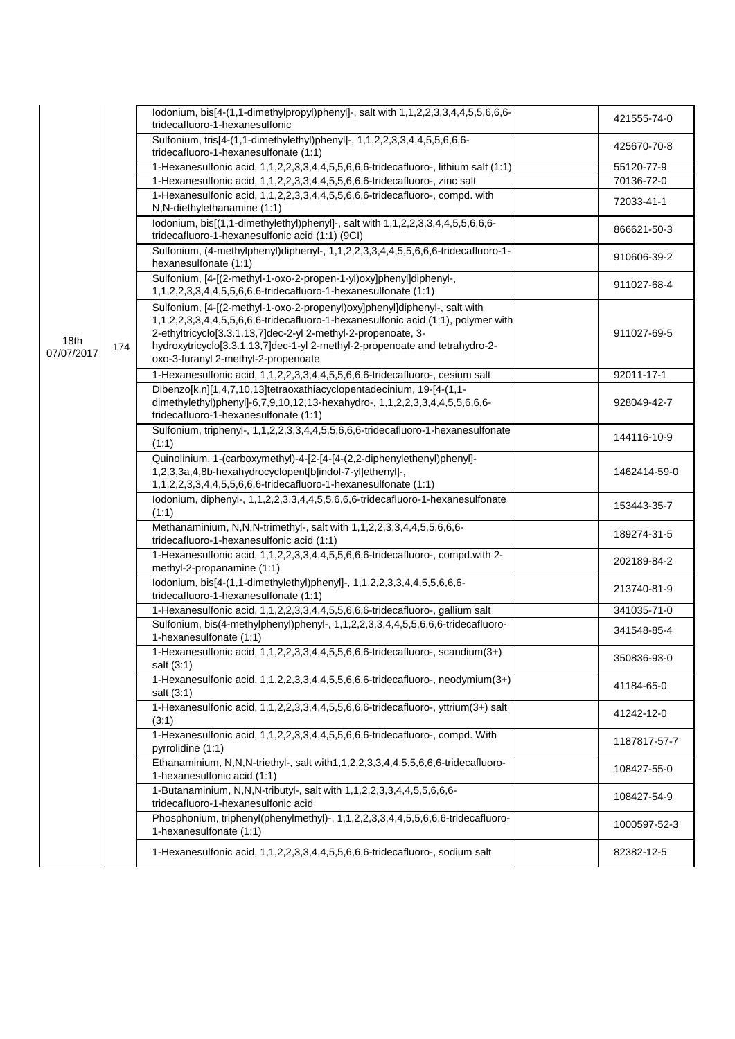|                    |     | lodonium, bis[4-(1,1-dimethylpropyl)phenyl]-, salt with 1,1,2,2,3,3,4,4,5,5,6,6,6-<br>tridecafluoro-1-hexanesulfonic                                                                                                                                                                                                                                  | 421555-74-0  |
|--------------------|-----|-------------------------------------------------------------------------------------------------------------------------------------------------------------------------------------------------------------------------------------------------------------------------------------------------------------------------------------------------------|--------------|
|                    |     | Sulfonium, tris[4-(1,1-dimethylethyl)phenyl]-, 1,1,2,2,3,3,4,4,5,5,6,6,6-<br>tridecafluoro-1-hexanesulfonate (1:1)                                                                                                                                                                                                                                    | 425670-70-8  |
|                    |     | 1-Hexanesulfonic acid, 1,1,2,2,3,3,4,4,5,5,6,6,6-tridecafluoro-, lithium salt (1:1)                                                                                                                                                                                                                                                                   | 55120-77-9   |
|                    |     | 1-Hexanesulfonic acid, 1,1,2,2,3,3,4,4,5,5,6,6,6-tridecafluoro-, zinc salt                                                                                                                                                                                                                                                                            | 70136-72-0   |
|                    |     | 1-Hexanesulfonic acid, 1,1,2,2,3,3,4,4,5,5,6,6,6-tridecafluoro-, compd. with<br>N,N-diethylethanamine (1:1)                                                                                                                                                                                                                                           | 72033-41-1   |
|                    |     | lodonium, bis[(1,1-dimethylethyl)phenyl]-, salt with 1,1,2,2,3,3,4,4,5,5,6,6,6-<br>tridecafluoro-1-hexanesulfonic acid (1:1) (9CI)                                                                                                                                                                                                                    | 866621-50-3  |
|                    |     | Sulfonium, (4-methylphenyl)diphenyl-, 1,1,2,2,3,3,4,4,5,5,6,6,6-tridecafluoro-1-<br>hexanesulfonate (1:1)                                                                                                                                                                                                                                             | 910606-39-2  |
|                    |     | Sulfonium, [4-[(2-methyl-1-oxo-2-propen-1-yl)oxy]phenyl]diphenyl-,<br>1,1,2,2,3,3,4,4,5,5,6,6,6-tridecafluoro-1-hexanesulfonate (1:1)                                                                                                                                                                                                                 | 911027-68-4  |
| 18th<br>07/07/2017 | 174 | Sulfonium, [4-[(2-methyl-1-oxo-2-propenyl)oxy]phenyl]diphenyl-, salt with<br>1,1,2,2,3,3,4,4,5,5,6,6,6-tridecafluoro-1-hexanesulfonic acid (1:1), polymer with<br>2-ethyltricyclo[3.3.1.13,7]dec-2-yl 2-methyl-2-propenoate, 3-<br>hydroxytricyclo[3.3.1.13,7]dec-1-yl 2-methyl-2-propenoate and tetrahydro-2-<br>oxo-3-furanyl 2-methyl-2-propenoate | 911027-69-5  |
|                    |     | 1-Hexanesulfonic acid, 1,1,2,2,3,3,4,4,5,5,6,6,6-tridecafluoro-, cesium salt                                                                                                                                                                                                                                                                          | 92011-17-1   |
|                    |     | Dibenzo[k,n][1,4,7,10,13]tetraoxathiacyclopentadecinium, 19-[4-(1,1-<br>dimethylethyl)phenyl]-6,7,9,10,12,13-hexahydro-, 1,1,2,2,3,3,4,4,5,5,6,6,6-<br>tridecafluoro-1-hexanesulfonate (1:1)                                                                                                                                                          | 928049-42-7  |
|                    |     | Sulfonium, triphenyl-, 1,1,2,2,3,3,4,4,5,5,6,6,6-tridecafluoro-1-hexanesulfonate<br>(1:1)                                                                                                                                                                                                                                                             | 144116-10-9  |
|                    |     | Quinolinium, 1-(carboxymethyl)-4-[2-[4-[4-(2,2-diphenylethenyl)phenyl]-<br>1,2,3,3a,4,8b-hexahydrocyclopent[b]indol-7-yl]ethenyl]-,<br>1,1,2,2,3,3,4,4,5,5,6,6,6-tridecafluoro-1-hexanesulfonate (1:1)                                                                                                                                                | 1462414-59-0 |
|                    |     | lodonium, diphenyl-, 1,1,2,2,3,3,4,4,5,5,6,6,6-tridecafluoro-1-hexanesulfonate<br>(1:1)                                                                                                                                                                                                                                                               | 153443-35-7  |
|                    |     | Methanaminium, N,N,N-trimethyl-, salt with 1,1,2,2,3,3,4,4,5,5,6,6,6-<br>tridecafluoro-1-hexanesulfonic acid (1:1)                                                                                                                                                                                                                                    | 189274-31-5  |
|                    |     | 1-Hexanesulfonic acid, 1,1,2,2,3,3,4,4,5,5,6,6,6-tridecafluoro-, compd.with 2-<br>methyl-2-propanamine (1:1)                                                                                                                                                                                                                                          | 202189-84-2  |
|                    |     | lodonium, bis[4-(1,1-dimethylethyl)phenyl]-, 1,1,2,2,3,3,4,4,5,5,6,6,6-<br>tridecafluoro-1-hexanesulfonate (1:1)                                                                                                                                                                                                                                      | 213740-81-9  |
|                    |     | 1-Hexanesulfonic acid, 1,1,2,2,3,3,4,4,5,5,6,6,6-tridecafluoro-, gallium salt                                                                                                                                                                                                                                                                         | 341035-71-0  |
|                    |     | Sulfonium, bis(4-methylphenyl)phenyl-, 1,1,2,2,3,3,4,4,5,5,6,6,6-tridecafluoro-<br>1-hexanesulfonate (1:1)                                                                                                                                                                                                                                            | 341548-85-4  |
|                    |     | 1-Hexanesulfonic acid, 1,1,2,2,3,3,4,4,5,5,6,6,6-tridecafluoro-, scandium(3+)<br>salt (3:1)                                                                                                                                                                                                                                                           | 350836-93-0  |
|                    |     | 1-Hexanesulfonic acid, 1,1,2,2,3,3,4,4,5,5,6,6,6-tridecafluoro-, neodymium(3+)<br>salt (3:1)                                                                                                                                                                                                                                                          | 41184-65-0   |
|                    |     | 1-Hexanesulfonic acid, 1,1,2,2,3,3,4,4,5,5,6,6,6-tridecafluoro-, yttrium(3+) salt<br>(3:1)                                                                                                                                                                                                                                                            | 41242-12-0   |
|                    |     | 1-Hexanesulfonic acid, 1,1,2,2,3,3,4,4,5,5,6,6,6-tridecafluoro-, compd. With<br>pyrrolidine (1:1)                                                                                                                                                                                                                                                     | 1187817-57-7 |
|                    |     | Ethanaminium, N,N,N-triethyl-, salt with1,1,2,2,3,3,4,4,5,5,6,6,6-tridecafluoro-<br>1-hexanesulfonic acid (1:1)                                                                                                                                                                                                                                       | 108427-55-0  |
|                    |     | 1-Butanaminium, N,N,N-tributyl-, salt with 1,1,2,2,3,3,4,4,5,5,6,6,6-<br>tridecafluoro-1-hexanesulfonic acid                                                                                                                                                                                                                                          | 108427-54-9  |
|                    |     | Phosphonium, triphenyl(phenylmethyl)-, 1,1,2,2,3,3,4,4,5,5,6,6,6-tridecafluoro-<br>1-hexanesulfonate (1:1)                                                                                                                                                                                                                                            | 1000597-52-3 |
|                    |     | 1-Hexanesulfonic acid, 1,1,2,2,3,3,4,4,5,5,6,6-tridecafluoro-, sodium salt                                                                                                                                                                                                                                                                            | 82382-12-5   |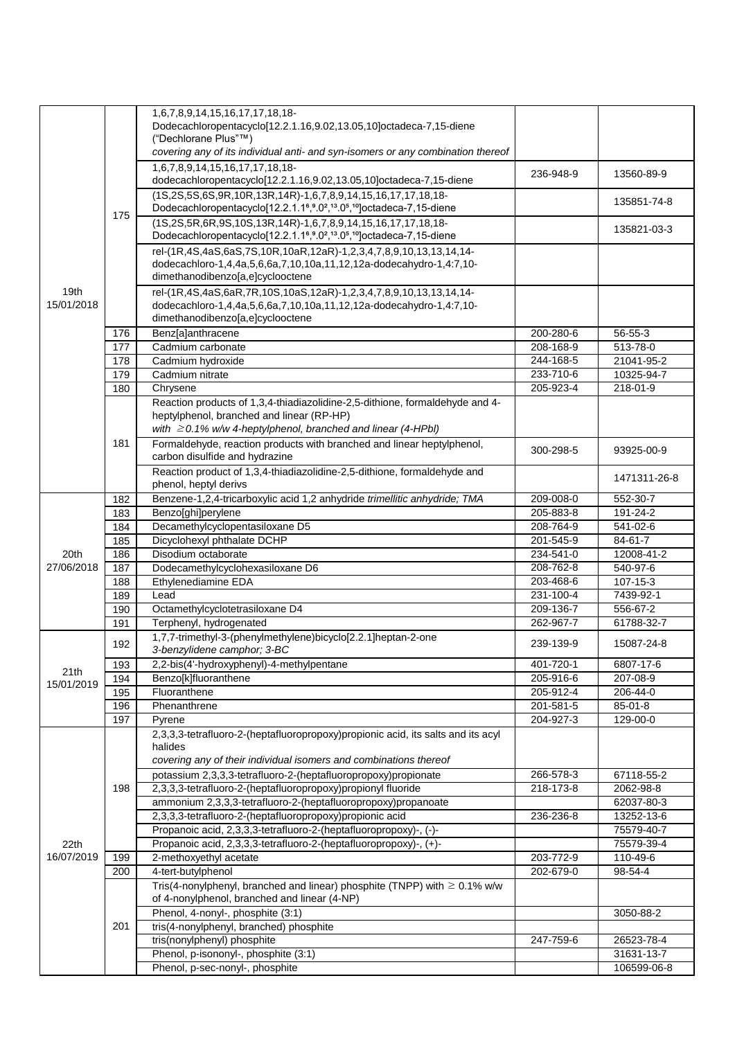|                    |     | 1,6,7,8,9,14,15,16,17,17,18,18-<br>Dodecachloropentacyclo[12.2.1.16,9.02,13.05,10]octadeca-7,15-diene<br>("Dechlorane Plus"™)                                                                                      |           |              |
|--------------------|-----|--------------------------------------------------------------------------------------------------------------------------------------------------------------------------------------------------------------------|-----------|--------------|
|                    |     | covering any of its individual anti- and syn-isomers or any combination thereof                                                                                                                                    |           |              |
|                    |     | 1,6,7,8,9,14,15,16,17,17,18,18-<br>dodecachloropentacyclo[12.2.1.16,9.02,13.05,10]octadeca-7,15-diene                                                                                                              | 236-948-9 | 13560-89-9   |
|                    | 175 | (1S,2S,5S,6S,9R,10R,13R,14R)-1,6,7,8,9,14,15,16,17,17,18,18-<br>Dodecachloropentacyclo[12.2.1.1 <sup>6</sup> , 9.0 <sup>2</sup> , <sup>13</sup> .0 <sup>5</sup> , <sup>10</sup> ] octadeca-7, 15-diene             |           | 135851-74-8  |
|                    |     | (1S,2S,5R,6R,9S,10S,13R,14R)-1,6,7,8,9,14,15,16,17,17,18,18-<br>Dodecachloropentacyclo[12.2.1.1 <sup>6</sup> , <sup>9</sup> .0 <sup>2</sup> , <sup>13</sup> .0 <sup>5</sup> , <sup>10</sup> ] octadeca-7, 15-diene |           | 135821-03-3  |
|                    |     | rel-(1R,4S,4aS,6aS,7S,10R,10aR,12aR)-1,2,3,4,7,8,9,10,13,13,14,14-<br>dodecachloro-1,4,4a,5,6,6a,7,10,10a,11,12,12a-dodecahydro-1,4:7,10-<br>dimethanodibenzo[a,e]cyclooctene                                      |           |              |
| 19th<br>15/01/2018 |     | rel-(1R,4S,4aS,6aR,7R,10S,10aS,12aR)-1,2,3,4,7,8,9,10,13,13,14,14-<br>dodecachloro-1,4,4a,5,6,6a,7,10,10a,11,12,12a-dodecahydro-1,4:7,10-<br>dimethanodibenzo[a,e]cyclooctene                                      |           |              |
|                    | 176 | Benz[a]anthracene                                                                                                                                                                                                  | 200-280-6 | 56-55-3      |
|                    | 177 | Cadmium carbonate                                                                                                                                                                                                  | 208-168-9 | 513-78-0     |
|                    | 178 | Cadmium hydroxide                                                                                                                                                                                                  | 244-168-5 | 21041-95-2   |
|                    | 179 | Cadmium nitrate                                                                                                                                                                                                    | 233-710-6 | 10325-94-7   |
|                    | 180 | Chrysene                                                                                                                                                                                                           | 205-923-4 | 218-01-9     |
|                    |     | Reaction products of 1,3,4-thiadiazolidine-2,5-dithione, formaldehyde and 4-<br>heptylphenol, branched and linear (RP-HP)<br>with $\geq$ 0.1% w/w 4-heptylphenol, branched and linear (4-HPbI)                     |           |              |
|                    | 181 | Formaldehyde, reaction products with branched and linear heptylphenol,<br>carbon disulfide and hydrazine                                                                                                           | 300-298-5 | 93925-00-9   |
|                    |     | Reaction product of 1,3,4-thiadiazolidine-2,5-dithione, formaldehyde and<br>phenol, heptyl derivs                                                                                                                  |           | 1471311-26-8 |
|                    | 182 | Benzene-1,2,4-tricarboxylic acid 1,2 anhydride trimellitic anhydride; TMA                                                                                                                                          | 209-008-0 | 552-30-7     |
|                    | 183 | Benzo[ghi]perylene                                                                                                                                                                                                 | 205-883-8 | 191-24-2     |
|                    | 184 | Decamethylcyclopentasiloxane D5                                                                                                                                                                                    | 208-764-9 | 541-02-6     |
|                    | 185 | Dicyclohexyl phthalate DCHP                                                                                                                                                                                        | 201-545-9 | 84-61-7      |
| 20th               | 186 | Disodium octaborate                                                                                                                                                                                                | 234-541-0 | 12008-41-2   |
| 27/06/2018         | 187 | Dodecamethylcyclohexasiloxane D6                                                                                                                                                                                   | 208-762-8 | 540-97-6     |
|                    | 188 | Ethylenediamine EDA                                                                                                                                                                                                | 203-468-6 | 107-15-3     |
|                    | 189 | Lead                                                                                                                                                                                                               | 231-100-4 | 7439-92-1    |
|                    | 190 | Octamethylcyclotetrasiloxane D4                                                                                                                                                                                    | 209-136-7 | 556-67-2     |
|                    | 191 | Terphenyl, hydrogenated                                                                                                                                                                                            | 262-967-7 | 61788-32-7   |
|                    | 192 | 1,7,7-trimethyl-3-(phenylmethylene)bicyclo[2.2.1]heptan-2-one<br>3-benzylidene camphor: 3-BC                                                                                                                       | 239-139-9 | 15087-24-8   |
| 21th               | 193 | 2,2-bis(4'-hydroxyphenyl)-4-methylpentane                                                                                                                                                                          | 401-720-1 | 6807-17-6    |
| 15/01/2019         | 194 | Benzo[k]fluoranthene                                                                                                                                                                                               | 205-916-6 | 207-08-9     |
|                    | 195 | Fluoranthene                                                                                                                                                                                                       | 205-912-4 | 206-44-0     |
|                    | 196 | Phenanthrene                                                                                                                                                                                                       | 201-581-5 | 85-01-8      |
|                    | 197 | Pyrene                                                                                                                                                                                                             | 204-927-3 | 129-00-0     |
|                    |     | 2,3,3,3-tetrafluoro-2-(heptafluoropropoxy)propionic acid, its salts and its acyl<br>halides<br>covering any of their individual isomers and combinations thereof                                                   |           |              |
|                    |     | potassium 2,3,3,3-tetrafluoro-2-(heptafluoropropoxy)propionate                                                                                                                                                     | 266-578-3 | 67118-55-2   |
|                    | 198 | 2,3,3,3-tetrafluoro-2-(heptafluoropropoxy)propionyl fluoride                                                                                                                                                       | 218-173-8 | 2062-98-8    |
|                    |     | ammonium 2,3,3,3-tetrafluoro-2-(heptafluoropropoxy)propanoate                                                                                                                                                      |           | 62037-80-3   |
|                    |     | 2,3,3,3-tetrafluoro-2-(heptafluoropropoxy)propionic acid                                                                                                                                                           | 236-236-8 | 13252-13-6   |
|                    |     | Propanoic acid, 2,3,3,3-tetrafluoro-2-(heptafluoropropoxy)-, (-)-                                                                                                                                                  |           | 75579-40-7   |
| 22th               |     | Propanoic acid, 2,3,3,3-tetrafluoro-2-(heptafluoropropoxy)-, (+)-                                                                                                                                                  |           | 75579-39-4   |
| 16/07/2019         | 199 | 2-methoxyethyl acetate                                                                                                                                                                                             | 203-772-9 | 110-49-6     |
|                    | 200 | 4-tert-butylphenol                                                                                                                                                                                                 | 202-679-0 | 98-54-4      |
|                    |     | Tris(4-nonylphenyl, branched and linear) phosphite (TNPP) with $\geq 0.1\%$ w/w<br>of 4-nonylphenol, branched and linear (4-NP)                                                                                    |           |              |
|                    |     | Phenol, 4-nonyl-, phosphite (3:1)                                                                                                                                                                                  |           | 3050-88-2    |
|                    | 201 | tris(4-nonylphenyl, branched) phosphite                                                                                                                                                                            |           |              |
|                    |     | tris(nonylphenyl) phosphite                                                                                                                                                                                        | 247-759-6 | 26523-78-4   |
|                    |     | Phenol, p-isononyl-, phosphite (3:1)                                                                                                                                                                               |           | 31631-13-7   |
|                    |     | Phenol, p-sec-nonyl-, phosphite                                                                                                                                                                                    |           | 106599-06-8  |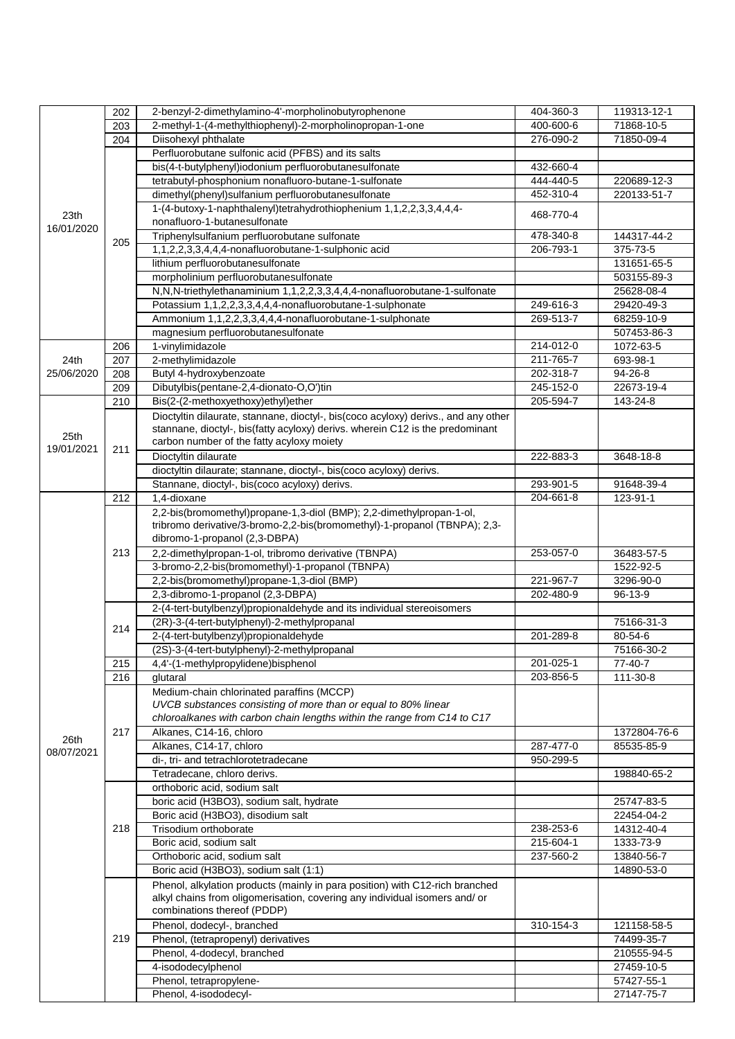|            | 202 | 2-benzyl-2-dimethylamino-4'-morpholinobutyrophenone                                | 404-360-3 | 119313-12-1              |
|------------|-----|------------------------------------------------------------------------------------|-----------|--------------------------|
|            | 203 | 2-methyl-1-(4-methylthiophenyl)-2-morpholinopropan-1-one                           | 400-600-6 | 71868-10-5               |
|            | 204 | Diisohexyl phthalate                                                               | 276-090-2 | 71850-09-4               |
|            |     | Perfluorobutane sulfonic acid (PFBS) and its salts                                 |           |                          |
|            |     | bis(4-t-butylphenyl)iodonium perfluorobutanesulfonate                              | 432-660-4 |                          |
|            |     | tetrabutyl-phosphonium nonafluoro-butane-1-sulfonate                               | 444-440-5 | 220689-12-3              |
|            |     | dimethyl(phenyl)sulfanium perfluorobutanesulfonate                                 | 452-310-4 | 220133-51-7              |
|            |     | 1-(4-butoxy-1-naphthalenyl)tetrahydrothiophenium 1,1,2,2,3,3,4,4,4-                |           |                          |
| 23th       |     | nonafluoro-1-butanesulfonate                                                       | 468-770-4 |                          |
| 16/01/2020 |     | Triphenylsulfanium perfluorobutane sulfonate                                       | 478-340-8 | 144317-44-2              |
|            | 205 | 1,1,2,2,3,3,4,4,4-nonafluorobutane-1-sulphonic acid                                | 206-793-1 | 375-73-5                 |
|            |     | lithium perfluorobutanesulfonate                                                   |           | 131651-65-5              |
|            |     | morpholinium perfluorobutanesulfonate                                              |           | 503155-89-3              |
|            |     | N,N,N-triethylethanaminium 1,1,2,2,3,3,4,4,4-nonafluorobutane-1-sulfonate          |           | 25628-08-4               |
|            |     | Potassium 1,1,2,2,3,3,4,4,4-nonafluorobutane-1-sulphonate                          | 249-616-3 | 29420-49-3               |
|            |     | Ammonium 1,1,2,2,3,3,4,4,4-nonafluorobutane-1-sulphonate                           | 269-513-7 | 68259-10-9               |
|            |     | magnesium perfluorobutanesulfonate                                                 |           | 507453-86-3              |
|            | 206 | 1-vinylimidazole                                                                   | 214-012-0 | 1072-63-5                |
|            |     |                                                                                    |           | 693-98-1                 |
| 24th       | 207 | 2-methylimidazole                                                                  | 211-765-7 |                          |
| 25/06/2020 | 208 | Butyl 4-hydroxybenzoate                                                            | 202-318-7 | 94-26-8                  |
|            | 209 | Dibutylbis(pentane-2,4-dionato-O,O')tin                                            | 245-152-0 | 22673-19-4               |
|            | 210 | Bis(2-(2-methoxyethoxy)ethyl)ether                                                 | 205-594-7 | 143-24-8                 |
|            |     | Dioctyltin dilaurate, stannane, dioctyl-, bis(coco acyloxy) derivs., and any other |           |                          |
| 25th       |     | stannane, dioctyl-, bis(fatty acyloxy) derivs. wherein C12 is the predominant      |           |                          |
| 19/01/2021 | 211 | carbon number of the fatty acyloxy moiety                                          |           |                          |
|            |     | Dioctyltin dilaurate                                                               | 222-883-3 | 3648-18-8                |
|            |     | dioctyltin dilaurate; stannane, dioctyl-, bis(coco acyloxy) derivs.                |           |                          |
|            |     | Stannane, dioctyl-, bis(coco acyloxy) derivs.                                      | 293-901-5 | 91648-39-4               |
|            | 212 | 1,4-dioxane                                                                        | 204-661-8 | 123-91-1                 |
|            |     | 2,2-bis(bromomethyl)propane-1,3-diol (BMP); 2,2-dimethylpropan-1-ol,               |           |                          |
|            |     | tribromo derivative/3-bromo-2,2-bis(bromomethyl)-1-propanol (TBNPA); 2,3-          |           |                          |
|            |     | dibromo-1-propanol (2,3-DBPA)                                                      |           |                          |
|            | 213 | 2,2-dimethylpropan-1-ol, tribromo derivative (TBNPA)                               | 253-057-0 | 36483-57-5               |
|            |     | 3-bromo-2,2-bis(bromomethyl)-1-propanol (TBNPA)                                    |           | 1522-92-5                |
|            |     | 2,2-bis(bromomethyl)propane-1,3-diol (BMP)                                         | 221-967-7 | 3296-90-0                |
|            |     | 2,3-dibromo-1-propanol (2,3-DBPA)                                                  | 202-480-9 | 96-13-9                  |
|            | 214 | 2-(4-tert-butylbenzyl)propionaldehyde and its individual stereoisomers             |           |                          |
|            |     | (2R)-3-(4-tert-butylphenyl)-2-methylpropanal                                       |           | 75166-31-3               |
|            |     | 2-(4-tert-butylbenzyl)propionaldehyde                                              | 201-289-8 | 80-54-6                  |
|            |     | (2S)-3-(4-tert-butylphenyl)-2-methylpropanal                                       |           | 75166-30-2               |
|            | 215 | 4,4'-(1-methylpropylidene)bisphenol                                                | 201-025-1 | $77-40-7$                |
|            | 216 | glutaral                                                                           | 203-856-5 | 111-30-8                 |
|            |     | Medium-chain chlorinated paraffins (MCCP)                                          |           |                          |
|            |     | UVCB substances consisting of more than or equal to 80% linear                     |           |                          |
|            |     | chloroalkanes with carbon chain lengths within the range from C14 to C17           |           |                          |
|            | 217 | Alkanes, C14-16, chloro                                                            |           | 1372804-76-6             |
| 26th       |     | Alkanes, C14-17, chloro                                                            | 287-477-0 | 85535-85-9               |
| 08/07/2021 |     | di-, tri- and tetrachlorotetradecane                                               | 950-299-5 |                          |
|            |     | Tetradecane, chloro derivs.                                                        |           | 198840-65-2              |
|            |     | orthoboric acid, sodium salt                                                       |           |                          |
|            |     |                                                                                    |           |                          |
|            |     | boric acid (H3BO3), sodium salt, hydrate<br>Boric acid (H3BO3), disodium salt      |           | 25747-83-5<br>22454-04-2 |
|            |     |                                                                                    |           |                          |
|            | 218 | Trisodium orthoborate                                                              | 238-253-6 | 14312-40-4               |
|            |     | Boric acid, sodium salt                                                            | 215-604-1 | 1333-73-9                |
|            |     | Orthoboric acid, sodium salt                                                       | 237-560-2 | 13840-56-7               |
|            |     | Boric acid (H3BO3), sodium salt (1:1)                                              |           | 14890-53-0               |
|            |     | Phenol, alkylation products (mainly in para position) with C12-rich branched       |           |                          |
|            |     | alkyl chains from oligomerisation, covering any individual isomers and/ or         |           |                          |
|            |     | combinations thereof (PDDP)                                                        |           |                          |
|            |     | Phenol, dodecyl-, branched                                                         | 310-154-3 | 121158-58-5              |
|            | 219 | Phenol, (tetrapropenyl) derivatives                                                |           | 74499-35-7               |
|            |     | Phenol, 4-dodecyl, branched                                                        |           | 210555-94-5              |
|            |     | 4-isododecylphenol                                                                 |           | 27459-10-5               |
|            |     | Phenol, tetrapropylene-                                                            |           | 57427-55-1               |
|            |     | Phenol, 4-isododecyl-                                                              |           | 27147-75-7               |